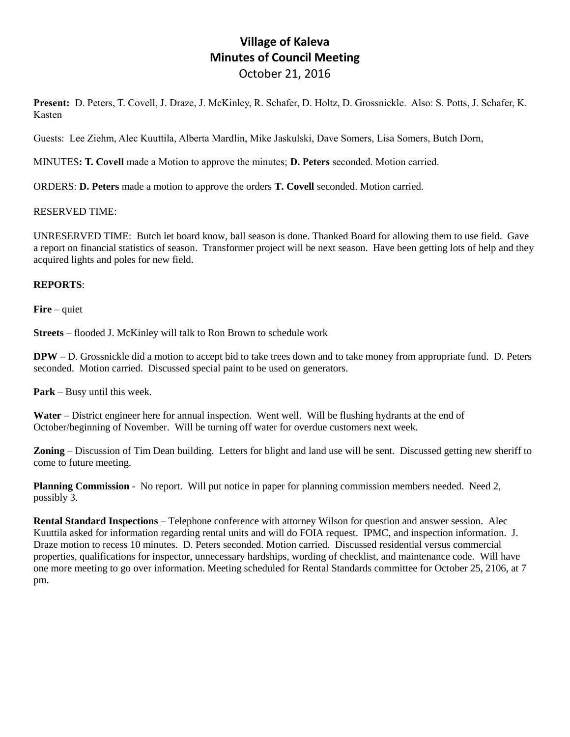## **Village of Kaleva Minutes of Council Meeting** October 21, 2016

**Present:** D. Peters, T. Covell, J. Draze, J. McKinley, R. Schafer, D. Holtz, D. Grossnickle. Also: S. Potts, J. Schafer, K. Kasten

Guests: Lee Ziehm, Alec Kuuttila, Alberta Mardlin, Mike Jaskulski, Dave Somers, Lisa Somers, Butch Dorn,

MINUTES**: T. Covell** made a Motion to approve the minutes; **D. Peters** seconded. Motion carried.

ORDERS: **D. Peters** made a motion to approve the orders **T. Covell** seconded. Motion carried.

## RESERVED TIME:

UNRESERVED TIME: Butch let board know, ball season is done. Thanked Board for allowing them to use field. Gave a report on financial statistics of season. Transformer project will be next season. Have been getting lots of help and they acquired lights and poles for new field.

## **REPORTS**:

**Fire** – quiet

**Streets** – flooded J. McKinley will talk to Ron Brown to schedule work

**DPW** – D. Grossnickle did a motion to accept bid to take trees down and to take money from appropriate fund. D. Peters seconded. Motion carried. Discussed special paint to be used on generators.

**Park** – Busy until this week.

**Water** – District engineer here for annual inspection. Went well. Will be flushing hydrants at the end of October/beginning of November. Will be turning off water for overdue customers next week.

**Zoning** – Discussion of Tim Dean building. Letters for blight and land use will be sent. Discussed getting new sheriff to come to future meeting.

**Planning Commission** - No report. Will put notice in paper for planning commission members needed. Need 2, possibly 3.

**Rental Standard Inspections** – Telephone conference with attorney Wilson for question and answer session. Alec Kuuttila asked for information regarding rental units and will do FOIA request. IPMC, and inspection information. J. Draze motion to recess 10 minutes. D. Peters seconded. Motion carried. Discussed residential versus commercial properties, qualifications for inspector, unnecessary hardships, wording of checklist, and maintenance code. Will have one more meeting to go over information. Meeting scheduled for Rental Standards committee for October 25, 2106, at 7 pm.